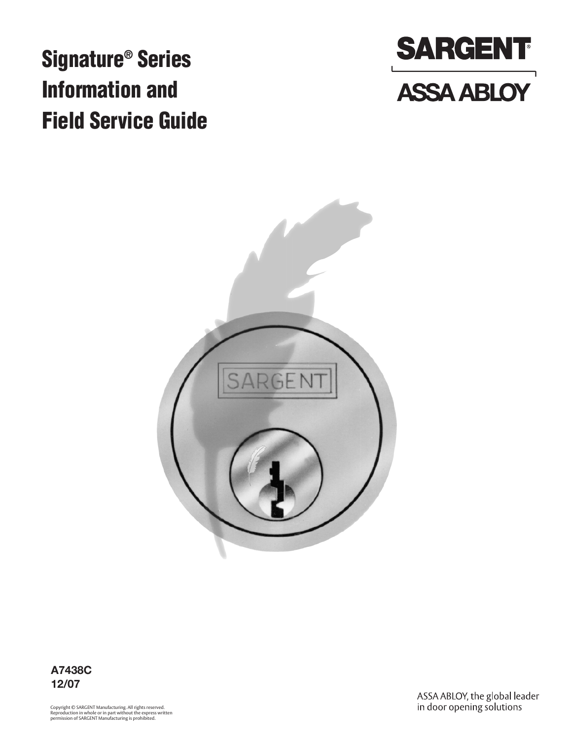# **Signature® Series Information and Field Service Guide**





**A7438C 12/07**

Copyright © SARGENT Manufacturing. All rights reserved. Reproduction in whole or in part without the express written permission of SARGENT Manufacturing is prohibited.

ASSA ABLOY, the global leader<br>in door opening solutions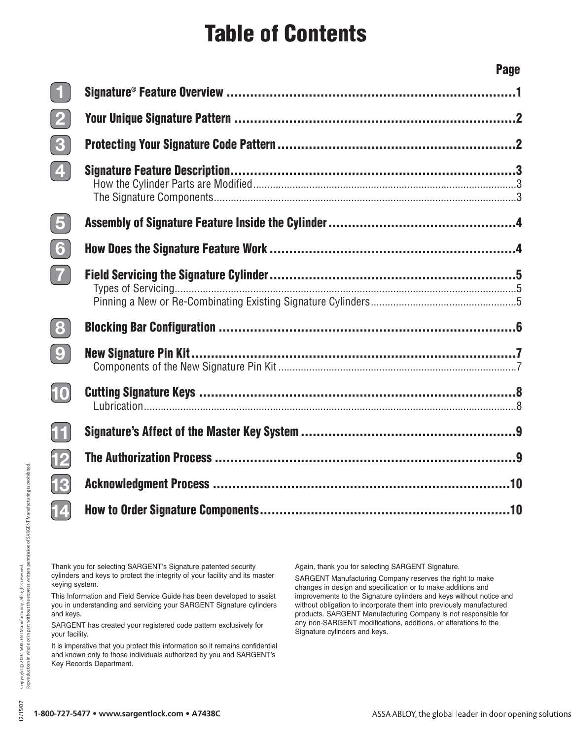## **Table of Contents**

**Signature® Feature Overview ..........................................................................1**

| $\left(\begin{array}{c} \blacksquare \end{array}\right)$ |  |
|----------------------------------------------------------|--|
| $\left( 2\right)$                                        |  |
| $\boxed{3}$                                              |  |
| $\boxed{4}$                                              |  |
| $\sqrt{5}$                                               |  |
| $\bm{6}$                                                 |  |
| $\boxed{7}$                                              |  |
| $\mathbf{8}$                                             |  |
| $\boxed{\mathbf{0}}$                                     |  |
| $\boldsymbol{\omega}$                                    |  |
| $\bm{\mathrm{H}}$                                        |  |
| $\overline{12}$                                          |  |
| $\overline{13}$                                          |  |
| $\bm{14}$                                                |  |
|                                                          |  |

Thank you for selecting SARGENT's Signature patented security cylinders and keys to protect the integrity of your facility and its master keying system.

This Information and Field Service Guide has been developed to assist you in understanding and servicing your SARGENT Signature cylinders and keys.

SARGENT has created your registered code pattern exclusively for your facility.

It is imperative that you protect this information so it remains confidential and known only to those individuals authorized by you and SARGENT's Key Records Department.

Again, thank you for selecting SARGENT Signature.

SARGENT Manufacturing Company reserves the right to make changes in design and specification or to make additions and improvements to the Signature cylinders and keys without notice and without obligation to incorporate them into previously manufactured products. SARGENT Manufacturing Company is not responsible for any non-SARGENT modifications, additions, or alterations to the Signature cylinders and keys.

**Page**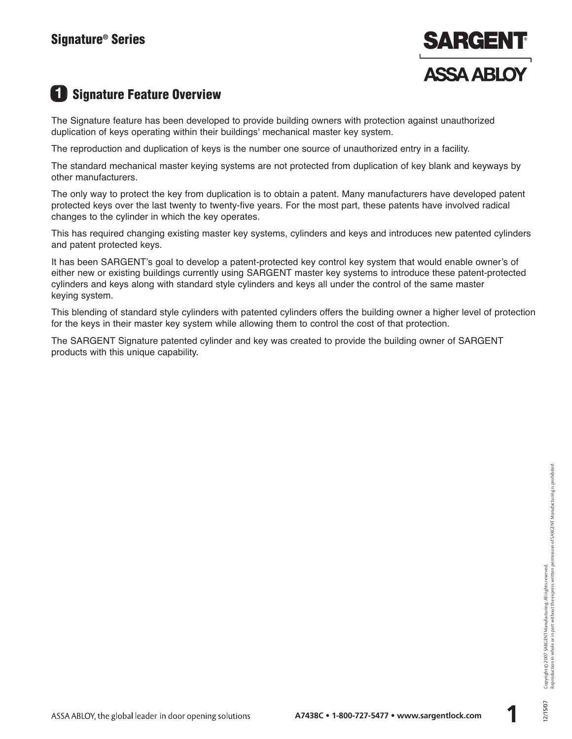

## **1 Signature Feature Overview**

The Signature feature has been developed to provide building owners with protection against unauthorized duplication of keys operating within their buildings' mechanical master key system.

The reproduction and duplication of keys is the number one source of unauthorized entry in a facility.

The standard mechanical master keying systems are not protected from duplication of key blank and keyways by other manufacturers.

The only way to protect the key from duplication is to obtain a patent. Many manufacturers have developed patent protected keys over the last twenty to twenty-five years. For the most part, these patents have involved radical changes to the cylinder in which the key operates.

This has required changing existing master key systems, cylinders and keys and introduces new patented cylinders and patent protected keys.

It has been SARGENT's goal to develop a patent-protected key control key system that would enable owner's of either new or existing buildings currently using SARGENT master key systems to introduce these patent-protected cylinders and keys along with standard style cylinders and keys all under the control of the same master keying system.

This blending of standard style cylinders with patented cylinders offers the building owner a higher level of protection for the keys in their master key system while allowing them to control the cost of that protection.

The SARGENT Signature patented cylinder and key was created to provide the building owner of SARGENT products with this unique capability.

**1**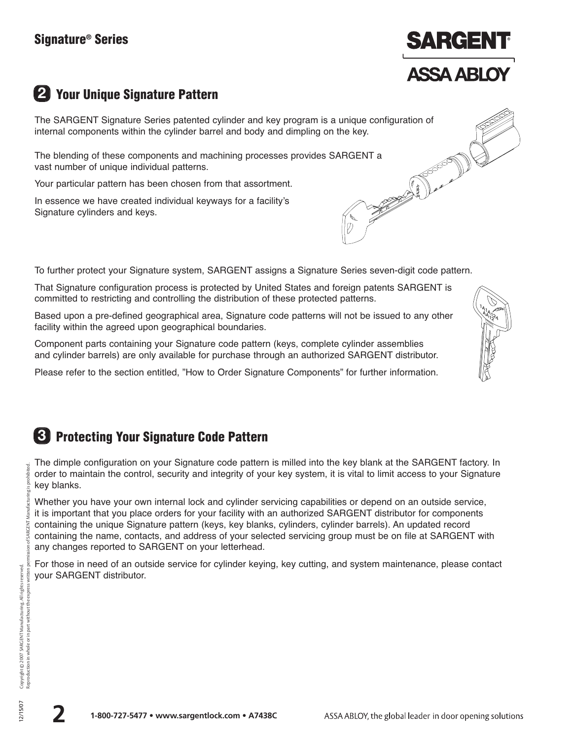

## **2 Your Unique Signature Pattern**

The SARGENT Signature Series patented cylinder and key program is a unique configuration of internal components within the cylinder barrel and body and dimpling on the key.

The blending of these components and machining processes provides SARGENT a<br>vast number of unique individual patterns.<br>Your particular pattern has been chosen from that assortment.<br>In essence we have created individual ke vast number of unique individual patterns.

Your particular pattern has been chosen from that assortment.

In essence we have created individual keyways for a facility's Signature cylinders and keys.

To further protect your Signature system, SARGENT assigns a Signature Series seven-digit code pattern.

That Signature configuration process is protected by United States and foreign patents SARGENT is committed to restricting and controlling the distribution of these protected patterns.

Based upon a pre-defined geographical area, Signature code patterns will not be issued to any other facility within the agreed upon geographical boundaries.

Component parts containing your Signature code pattern (keys, complete cylinder assemblies and cylinder barrels) are only available for purchase through an authorized SARGENT distributor.

Please refer to the section entitled, "How to Order Signature Components" for further information.

## **3 Protecting Your Signature Code Pattern**

The dimple configuration on your Signature code pattern is milled into the key blank at the SARGENT factory. In order to maintain the control, security and integrity of your key system, it is vital to limit access to your Signature key blanks.

Whether you have your own internal lock and cylinder servicing capabilities or depend on an outside service, it is important that you place orders for your facility with an authorized SARGENT distributor for components containing the unique Signature pattern (keys, key blanks, cylinders, cylinder barrels). An updated record containing the name, contacts, and address of your selected servicing group must be on file at SARGENT with any changes reported to SARGENT on your letterhead.

For those in need of an outside service for cylinder keying, key cutting, and system maintenance, please contact your SARGENT distributor.

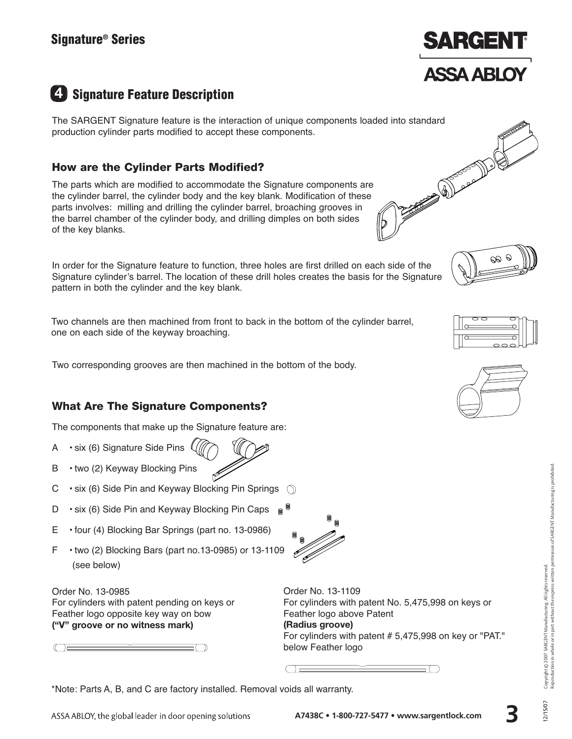

Contract of the Contract of Contract of the Contract of Contract of Contract of Contract of Contract of Contract of

## **4 Signature Feature Description**

The SARGENT Signature feature is the interaction of unique components loaded into standard production cylinder parts modified to accept these components.

#### **How are the Cylinder Parts Modified?**

The parts which are modified to accommodate the Signature components are the cylinder barrel, the cylinder body and the key blank. Modification of these parts involves: milling and drilling the cylinder barrel, broaching grooves in the barrel chamber of the cylinder body, and drilling dimples on both sides of the key blanks.

In order for the Signature feature to function, three holes are first drilled on each side of the Signature cylinder's barrel. The location of these drill holes creates the basis for the Signature pattern in both the cylinder and the key blank.

Two channels are then machined from front to back in the bottom of the cylinder barrel, one on each side of the keyway broaching.

Two corresponding grooves are then machined in the bottom of the body.

#### **What Are The Signature Components?**

The components that make up the Signature feature are:

- A  $\cdot$  six (6) Signature Side Pins  $($
- B two (2) Keyway Blocking Pins
- C  $\cdot$  six (6) Side Pin and Keyway Blocking Pin Springs  $\circ$
- D six (6) Side Pin and Keyway Blocking Pin Caps  $\circledast$
- E four (4) Blocking Bar Springs (part no. 13-0986)
- F two (2) Blocking Bars (part no.13-0985) or 13-1109 (see below)

Order No. 13-0985 For cylinders with patent pending on keys or Feather logo opposite key way on bow **("V" groove or no witness mark)**

 $\bigcirc$   $\equiv$ 

Order No. 13-1109 For cylinders with patent No. 5,475,998 on keys or Feather logo above Patent **(Radius groove)** For cylinders with patent # 5,475,998 on key or "PAT." below Feather logo

\*Note: Parts A, B, and C are factory installed. Removal voids all warranty.









**3**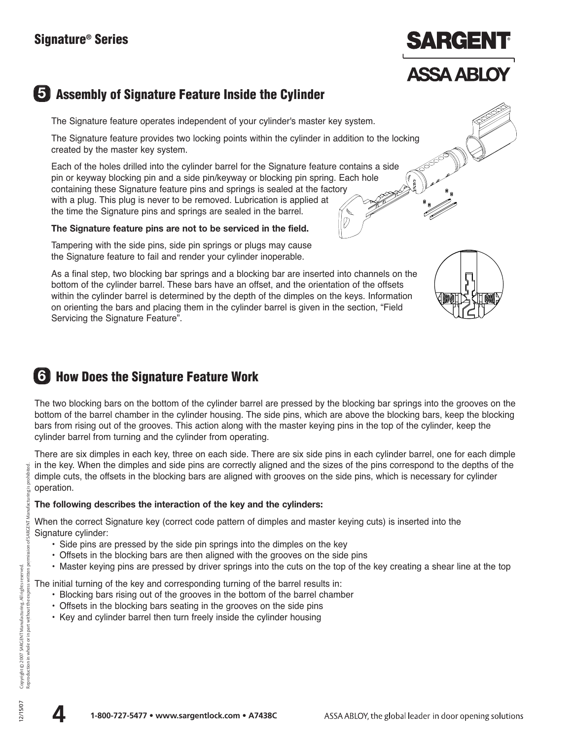# SARGER

## **ASSA ABLOY**

## **5 Assembly of Signature Feature Inside the Cylinder**

The Signature feature operates independent of your cylinder's master key system.

The Signature feature provides two locking points within the cylinder in addition to the locking created by the master key system.

Each of the holes drilled into the cylinder barrel for the Signature feature contains a side pin or keyway blocking pin and a side pin/keyway or blocking pin spring. Each hole containing these Signature feature pins and springs is sealed at the factory with a plug. This plug is never to be removed. Lubrication is applied at the time the Signature pins and springs are sealed in the barrel.

#### **The Signature feature pins are not to be serviced in the field.**

Tampering with the side pins, side pin springs or plugs may cause the Signature feature to fail and render your cylinder inoperable.

As a final step, two blocking bar springs and a blocking bar are inserted into channels on the bottom of the cylinder barrel. These bars have an offset, and the orientation of the offsets within the cylinder barrel is determined by the depth of the dimples on the keys. Information on orienting the bars and placing them in the cylinder barrel is given in the section, "Field Servicing the Signature Feature".



## **6 How Does the Signature Feature Work**

The two blocking bars on the bottom of the cylinder barrel are pressed by the blocking bar springs into the grooves on the bottom of the barrel chamber in the cylinder housing. The side pins, which are above the blocking bars, keep the blocking bars from rising out of the grooves. This action along with the master keying pins in the top of the cylinder, keep the cylinder barrel from turning and the cylinder from operating.

There are six dimples in each key, three on each side. There are six side pins in each cylinder barrel, one for each dimple in the key. When the dimples and side pins are correctly aligned and the sizes of the pins correspond to the depths of the dimple cuts, the offsets in the blocking bars are aligned with grooves on the side pins, which is necessary for cylinder operation.

#### **The following describes the interaction of the key and the cylinders:**

When the correct Signature key (correct code pattern of dimples and master keying cuts) is inserted into the Signature cylinder:

- Side pins are pressed by the side pin springs into the dimples on the key
- Offsets in the blocking bars are then aligned with the grooves on the side pins
- Master keying pins are pressed by driver springs into the cuts on the top of the key creating a shear line at the top

The initial turning of the key and corresponding turning of the barrel results in:

- Blocking bars rising out of the grooves in the bottom of the barrel chamber
- Offsets in the blocking bars seating in the grooves on the side pins
- Key and cylinder barrel then turn freely inside the cylinder housing

ufactu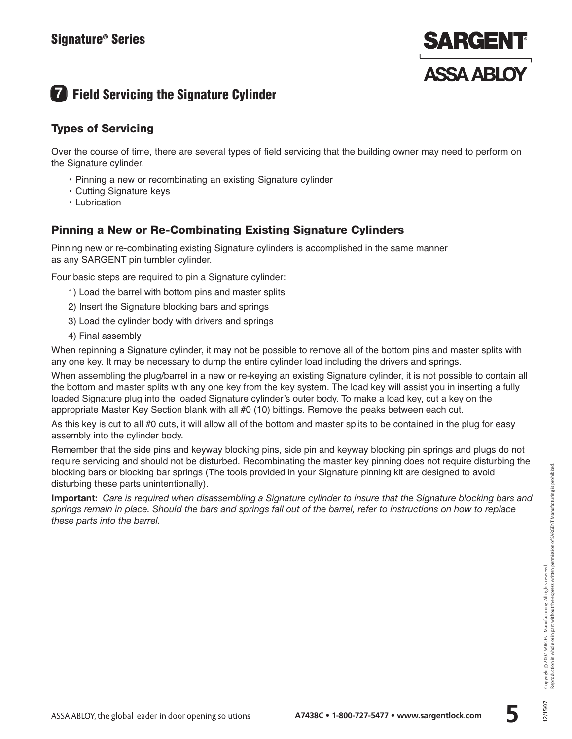

## **7 Field Servicing the Signature Cylinder**

#### **Types of Servicing**

Over the course of time, there are several types of field servicing that the building owner may need to perform on the Signature cylinder.

- Pinning a new or recombinating an existing Signature cylinder
- Cutting Signature keys
- Lubrication

#### **Pinning a New or Re-Combinating Existing Signature Cylinders**

Pinning new or re-combinating existing Signature cylinders is accomplished in the same manner as any SARGENT pin tumbler cylinder.

Four basic steps are required to pin a Signature cylinder:

- 1) Load the barrel with bottom pins and master splits
- 2) Insert the Signature blocking bars and springs
- 3) Load the cylinder body with drivers and springs
- 4) Final assembly

When repinning a Signature cylinder, it may not be possible to remove all of the bottom pins and master splits with any one key. It may be necessary to dump the entire cylinder load including the drivers and springs.

When assembling the plug/barrel in a new or re-keying an existing Signature cylinder, it is not possible to contain all the bottom and master splits with any one key from the key system. The load key will assist you in inserting a fully loaded Signature plug into the loaded Signature cylinder's outer body. To make a load key, cut a key on the appropriate Master Key Section blank with all #0 (10) bittings. Remove the peaks between each cut.

As this key is cut to all #0 cuts, it will allow all of the bottom and master splits to be contained in the plug for easy assembly into the cylinder body.

Remember that the side pins and keyway blocking pins, side pin and keyway blocking pin springs and plugs do not require servicing and should not be disturbed. Recombinating the master key pinning does not require disturbing the blocking bars or blocking bar springs (The tools provided in your Signature pinning kit are designed to avoid disturbing these parts unintentionally).

**Important:** *Care is required when disassembling a Signature cylinder to insure that the Signature blocking bars and springs remain in place. Should the bars and springs fall out of the barrel, refer to instructions on how to replace these parts into the barrel.*

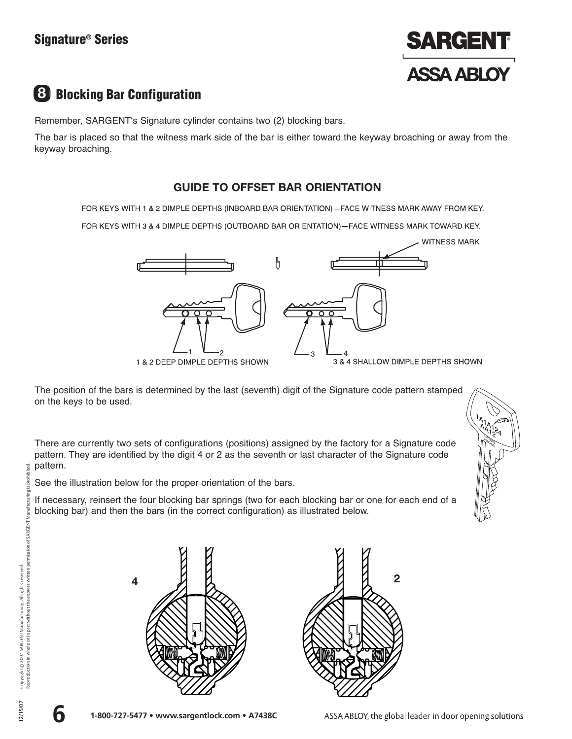#### **Signature® Series**



## **8 Blocking Bar Configuration**

Remember, SARGENT's Signature cylinder contains two (2) blocking bars.

The bar is placed so that the witness mark side of the bar is either toward the keyway broaching or away from the keyway broaching.

#### **GUIDE TO OFFSET BAR ORIENTATION**

FOR KEYS WITH 1 & 2 DIMPLE DEPTHS (INBOARD BAR ORIENTATION)-FACE WITNESS MARK AWAY FROM KEY.

FOR KEYS WITH 3 & 4 DIMPLE DEPTHS (OUTBOARD BAR ORIENTATION)-FACE WITNESS MARK TOWARD KEY.



The position of the bars is determined by the last (seventh) digit of the Signature code pattern stamped on the keys to be used.

There are currently two sets of configurations (positions) assigned by the factory for a Signature code pattern. They are identified by the digit 4 or 2 as the seventh or last character of the Signature code pattern.

See the illustration below for the proper orientation of the bars.

If necessary, reinsert the four blocking bar springs (two for each blocking bar or one for each end of a blocking bar) and then the bars (in the correct configuration) as illustrated below.



**4 2**



ted. proh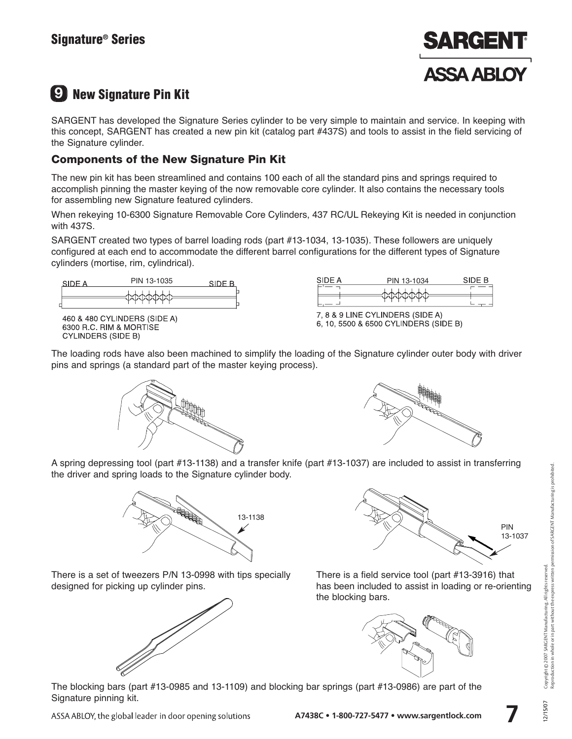

## **9 New Signature Pin Kit**

SARGENT has developed the Signature Series cylinder to be very simple to maintain and service. In keeping with this concept, SARGENT has created a new pin kit (catalog part #437S) and tools to assist in the field servicing of the Signature cylinder.

#### **Components of the New Signature Pin Kit**

The new pin kit has been streamlined and contains 100 each of all the standard pins and springs required to accomplish pinning the master keying of the now removable core cylinder. It also contains the necessary tools for assembling new Signature featured cylinders.

When rekeying 10-6300 Signature Removable Core Cylinders, 437 RC/UL Rekeying Kit is needed in conjunction with 437S.

SARGENT created two types of barrel loading rods (part #13-1034, 13-1035). These followers are uniquely configured at each end to accommodate the different barrel configurations for the different types of Signature cylinders (mortise, rim, cylindrical).



460 & 480 CYLINDERS (SIDE A) 6300 R.C. RIM & MORTISE **CYLINDERS (SIDE B)** 

| SIDE A | PIN 13-1034 | SIDE B |
|--------|-------------|--------|
|        |             |        |
|        |             |        |

7, 8 & 9 LINE CYLINDERS (SIDE A) 6, 10, 5500 & 6500 CYLINDERS (SIDE B)

The loading rods have also been machined to simplify the loading of the Signature cylinder outer body with driver pins and springs (a standard part of the master keying process).





A spring depressing tool (part #13-1138) and a transfer knife (part #13-1037) are included to assist in transferring the driver and spring loads to the Signature cylinder body.



There is a set of tweezers P/N 13-0998 with tips specially designed for picking up cylinder pins.





There is a field service tool (part #13-3916) that has been included to assist in loading or re-orienting the blocking bars.



The blocking bars (part #13-0985 and 13-1109) and blocking bar springs (part #13-0986) are part of the Signature pinning kit.

**7**

ASSA ABLOY, the global leader in door opening solutions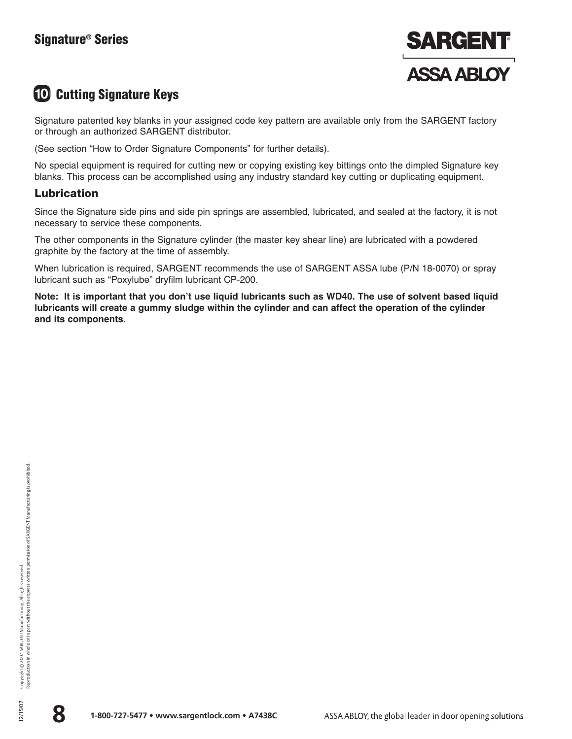#### **Signature® Series**



## **10 Cutting Signature Keys**

Signature patented key blanks in your assigned code key pattern are available only from the SARGENT factory or through an authorized SARGENT distributor.

(See section "How to Order Signature Components" for further details).

No special equipment is required for cutting new or copying existing key bittings onto the dimpled Signature key blanks. This process can be accomplished using any industry standard key cutting or duplicating equipment.

#### **Lubrication**

Since the Signature side pins and side pin springs are assembled, lubricated, and sealed at the factory, it is not necessary to service these components.

The other components in the Signature cylinder (the master key shear line) are lubricated with a powdered graphite by the factory at the time of assembly.

When lubrication is required, SARGENT recommends the use of SARGENT ASSA lube (P/N 18-0070) or spray lubricant such as "Poxylube" dryfilm lubricant CP-200.

**Note: It is important that you don't use liquid lubricants such as WD40. The use of solvent based liquid lubricants will create a gummy sludge within the cylinder and can affect the operation of the cylinder and its components.**

![](_page_9_Picture_13.jpeg)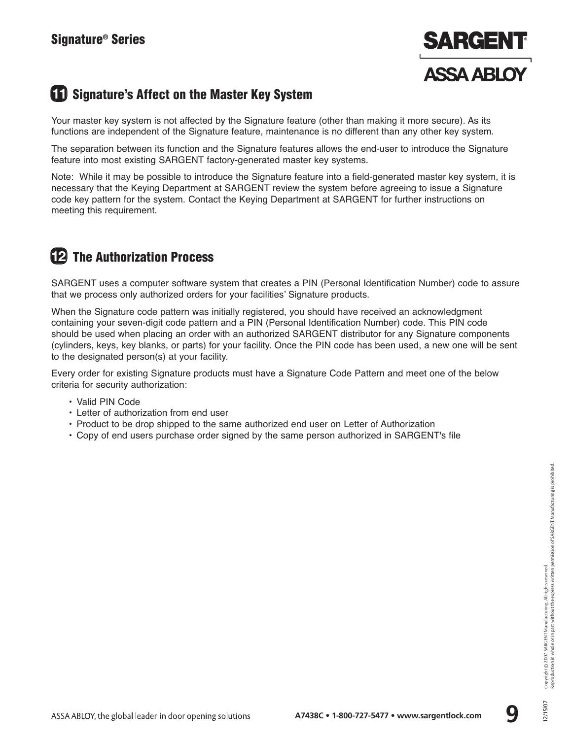![](_page_10_Picture_1.jpeg)

## **11 Signature's Affect on the Master Key System**

Your master key system is not affected by the Signature feature (other than making it more secure). As its functions are independent of the Signature feature, maintenance is no different than any other key system.

The separation between its function and the Signature features allows the end-user to introduce the Signature feature into most existing SARGENT factory-generated master key systems.

Note: While it may be possible to introduce the Signature feature into a field-generated master key system, it is necessary that the Keying Department at SARGENT review the system before agreeing to issue a Signature code key pattern for the system. Contact the Keying Department at SARGENT for further instructions on meeting this requirement.

## **12 The Authorization Process**

SARGENT uses a computer software system that creates a PIN (Personal Identification Number) code to assure that we process only authorized orders for your facilities' Signature products.

When the Signature code pattern was initially registered, you should have received an acknowledgment containing your seven-digit code pattern and a PIN (Personal Identification Number) code. This PIN code should be used when placing an order with an authorized SARGENT distributor for any Signature components (cylinders, keys, key blanks, or parts) for your facility. Once the PIN code has been used, a new one will be sent to the designated person(s) at your facility.

Every order for existing Signature products must have a Signature Code Pattern and meet one of the below criteria for security authorization:

- Valid PIN Code
- Letter of authorization from end user
- Product to be drop shipped to the same authorized end user on Letter of Authorization
- Copy of end users purchase order signed by the same person authorized in SARGENT's file

![](_page_10_Picture_17.jpeg)